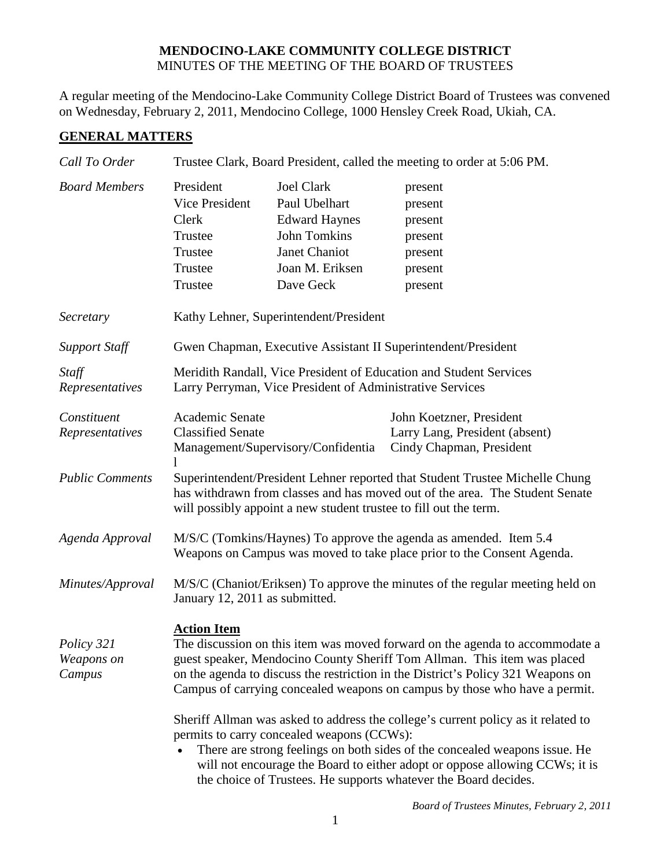## **MENDOCINO-LAKE COMMUNITY COLLEGE DISTRICT** MINUTES OF THE MEETING OF THE BOARD OF TRUSTEES

A regular meeting of the Mendocino-Lake Community College District Board of Trustees was convened on Wednesday, February 2, 2011, Mendocino College, 1000 Hensley Creek Road, Ukiah, CA.

## **GENERAL MATTERS**

| Call To Order                      | Trustee Clark, Board President, called the meeting to order at 5:06 PM.                                                                                                                                                                                                                                                                                         |                                                                                                                                    |                                                                                        |  |
|------------------------------------|-----------------------------------------------------------------------------------------------------------------------------------------------------------------------------------------------------------------------------------------------------------------------------------------------------------------------------------------------------------------|------------------------------------------------------------------------------------------------------------------------------------|----------------------------------------------------------------------------------------|--|
| <b>Board Members</b>               | President<br>Vice President<br>Clerk<br>Trustee<br>Trustee<br>Trustee<br>Trustee                                                                                                                                                                                                                                                                                | <b>Joel Clark</b><br>Paul Ubelhart<br><b>Edward Haynes</b><br><b>John Tomkins</b><br>Janet Chaniot<br>Joan M. Eriksen<br>Dave Geck | present<br>present<br>present<br>present<br>present<br>present<br>present              |  |
| Secretary                          | Kathy Lehner, Superintendent/President                                                                                                                                                                                                                                                                                                                          |                                                                                                                                    |                                                                                        |  |
| <b>Support Staff</b>               | Gwen Chapman, Executive Assistant II Superintendent/President                                                                                                                                                                                                                                                                                                   |                                                                                                                                    |                                                                                        |  |
| Staff<br>Representatives           | Meridith Randall, Vice President of Education and Student Services<br>Larry Perryman, Vice President of Administrative Services                                                                                                                                                                                                                                 |                                                                                                                                    |                                                                                        |  |
| Constituent<br>Representatives     | Academic Senate<br><b>Classified Senate</b><br>Management/Supervisory/Confidentia                                                                                                                                                                                                                                                                               |                                                                                                                                    | John Koetzner, President<br>Larry Lang, President (absent)<br>Cindy Chapman, President |  |
| <b>Public Comments</b>             | Superintendent/President Lehner reported that Student Trustee Michelle Chung<br>has withdrawn from classes and has moved out of the area. The Student Senate<br>will possibly appoint a new student trustee to fill out the term.                                                                                                                               |                                                                                                                                    |                                                                                        |  |
| Agenda Approval                    | M/S/C (Tomkins/Haynes) To approve the agenda as amended. Item 5.4<br>Weapons on Campus was moved to take place prior to the Consent Agenda.                                                                                                                                                                                                                     |                                                                                                                                    |                                                                                        |  |
| Minutes/Approval                   | M/S/C (Chaniot/Eriksen) To approve the minutes of the regular meeting held on<br>January 12, 2011 as submitted.                                                                                                                                                                                                                                                 |                                                                                                                                    |                                                                                        |  |
| Policy 321<br>Weapons on<br>Campus | <b>Action Item</b><br>The discussion on this item was moved forward on the agenda to accommodate a<br>guest speaker, Mendocino County Sheriff Tom Allman. This item was placed<br>on the agenda to discuss the restriction in the District's Policy 321 Weapons on<br>Campus of carrying concealed weapons on campus by those who have a permit.                |                                                                                                                                    |                                                                                        |  |
|                                    | Sheriff Allman was asked to address the college's current policy as it related to<br>permits to carry concealed weapons (CCWs):<br>There are strong feelings on both sides of the concealed weapons issue. He<br>will not encourage the Board to either adopt or oppose allowing CCWs; it is<br>the choice of Trustees. He supports whatever the Board decides. |                                                                                                                                    |                                                                                        |  |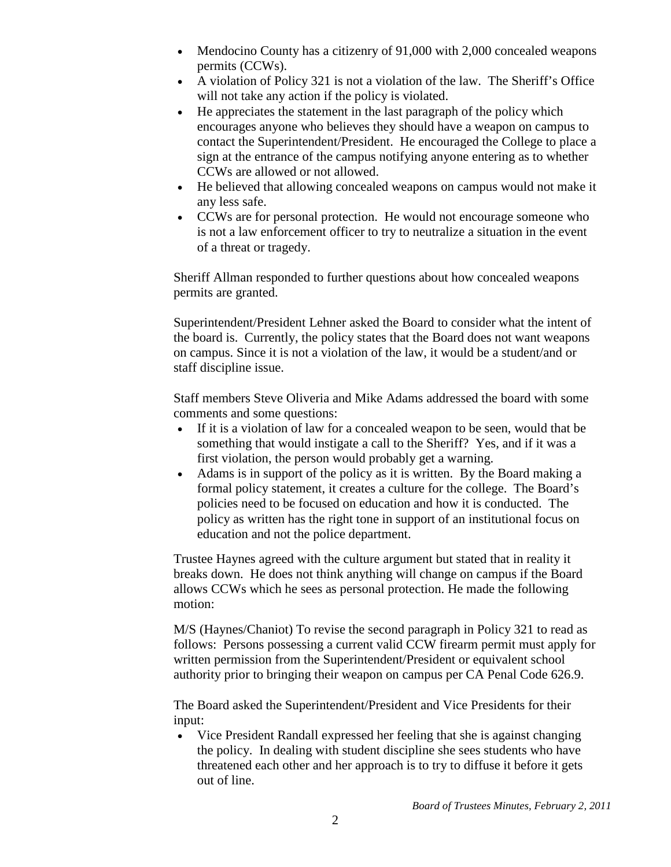- Mendocino County has a citizenry of 91,000 with 2,000 concealed weapons permits (CCWs).
- A violation of Policy 321 is not a violation of the law. The Sheriff's Office will not take any action if the policy is violated.
- He appreciates the statement in the last paragraph of the policy which encourages anyone who believes they should have a weapon on campus to contact the Superintendent/President. He encouraged the College to place a sign at the entrance of the campus notifying anyone entering as to whether CCWs are allowed or not allowed.
- He believed that allowing concealed weapons on campus would not make it any less safe.
- CCWs are for personal protection. He would not encourage someone who is not a law enforcement officer to try to neutralize a situation in the event of a threat or tragedy.

Sheriff Allman responded to further questions about how concealed weapons permits are granted.

Superintendent/President Lehner asked the Board to consider what the intent of the board is. Currently, the policy states that the Board does not want weapons on campus. Since it is not a violation of the law, it would be a student/and or staff discipline issue.

Staff members Steve Oliveria and Mike Adams addressed the board with some comments and some questions:

- If it is a violation of law for a concealed weapon to be seen, would that be something that would instigate a call to the Sheriff? Yes, and if it was a first violation, the person would probably get a warning.
- Adams is in support of the policy as it is written. By the Board making a formal policy statement, it creates a culture for the college. The Board's policies need to be focused on education and how it is conducted. The policy as written has the right tone in support of an institutional focus on education and not the police department.

Trustee Haynes agreed with the culture argument but stated that in reality it breaks down. He does not think anything will change on campus if the Board allows CCWs which he sees as personal protection. He made the following motion:

M/S (Haynes/Chaniot) To revise the second paragraph in Policy 321 to read as follows: Persons possessing a current valid CCW firearm permit must apply for written permission from the Superintendent/President or equivalent school authority prior to bringing their weapon on campus per CA Penal Code 626.9.

The Board asked the Superintendent/President and Vice Presidents for their input:

• Vice President Randall expressed her feeling that she is against changing the policy. In dealing with student discipline she sees students who have threatened each other and her approach is to try to diffuse it before it gets out of line.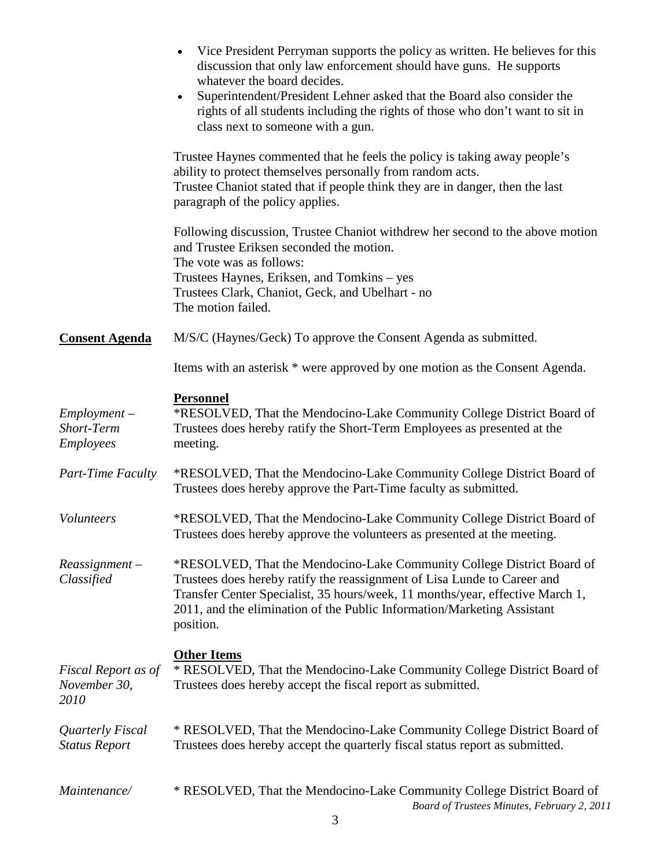|                                                  | Vice President Perryman supports the policy as written. He believes for this<br>$\bullet$<br>discussion that only law enforcement should have guns. He supports<br>whatever the board decides.<br>Superintendent/President Lehner asked that the Board also consider the<br>$\bullet$<br>rights of all students including the rights of those who don't want to sit in<br>class next to someone with a gun. |
|--------------------------------------------------|-------------------------------------------------------------------------------------------------------------------------------------------------------------------------------------------------------------------------------------------------------------------------------------------------------------------------------------------------------------------------------------------------------------|
|                                                  | Trustee Haynes commented that he feels the policy is taking away people's<br>ability to protect themselves personally from random acts.<br>Trustee Chaniot stated that if people think they are in danger, then the last<br>paragraph of the policy applies.                                                                                                                                                |
|                                                  | Following discussion, Trustee Chaniot with drew her second to the above motion<br>and Trustee Eriksen seconded the motion.<br>The vote was as follows:<br>Trustees Haynes, Eriksen, and Tomkins – yes<br>Trustees Clark, Chaniot, Geck, and Ubelhart - no<br>The motion failed.                                                                                                                             |
| <b>Consent Agenda</b>                            | M/S/C (Haynes/Geck) To approve the Consent Agenda as submitted.                                                                                                                                                                                                                                                                                                                                             |
|                                                  | Items with an asterisk * were approved by one motion as the Consent Agenda.                                                                                                                                                                                                                                                                                                                                 |
| $Employment -$<br>Short-Term<br><i>Employees</i> | <b>Personnel</b><br>*RESOLVED, That the Mendocino-Lake Community College District Board of<br>Trustees does hereby ratify the Short-Term Employees as presented at the<br>meeting.                                                                                                                                                                                                                          |
| Part-Time Faculty                                | *RESOLVED, That the Mendocino-Lake Community College District Board of<br>Trustees does hereby approve the Part-Time faculty as submitted.                                                                                                                                                                                                                                                                  |
| Volunteers                                       | *RESOLVED, That the Mendocino-Lake Community College District Board of<br>Trustees does hereby approve the volunteers as presented at the meeting.                                                                                                                                                                                                                                                          |
| $Reasonment -$<br>Classified                     | *RESOLVED, That the Mendocino-Lake Community College District Board of<br>Trustees does hereby ratify the reassignment of Lisa Lunde to Career and<br>Transfer Center Specialist, 35 hours/week, 11 months/year, effective March 1,<br>2011, and the elimination of the Public Information/Marketing Assistant<br>position.                                                                                 |
| Fiscal Report as of<br>November 30,<br>2010      | <b>Other Items</b><br>* RESOLVED, That the Mendocino-Lake Community College District Board of<br>Trustees does hereby accept the fiscal report as submitted.                                                                                                                                                                                                                                                |
| Quarterly Fiscal<br><b>Status Report</b>         | * RESOLVED, That the Mendocino-Lake Community College District Board of<br>Trustees does hereby accept the quarterly fiscal status report as submitted.                                                                                                                                                                                                                                                     |
| Maintenance/                                     | * RESOLVED, That the Mendocino-Lake Community College District Board of<br>Board of Trustees Minutes, February 2, 2011                                                                                                                                                                                                                                                                                      |

 $\overline{3}$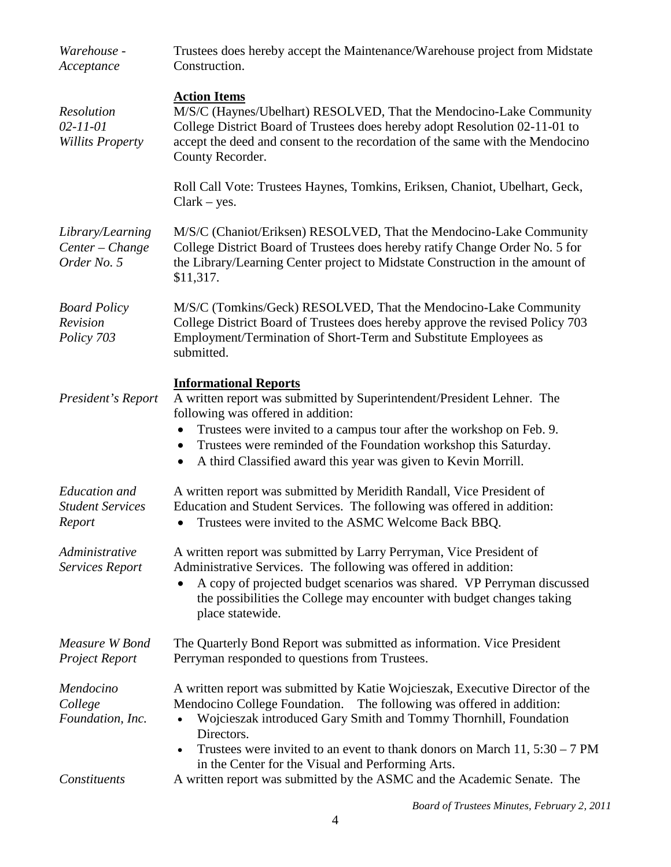| Warehouse -<br>Acceptance                                 | Trustees does hereby accept the Maintenance/Warehouse project from Midstate<br>Construction.                                                                                                                                                                                                                                                                                         |  |
|-----------------------------------------------------------|--------------------------------------------------------------------------------------------------------------------------------------------------------------------------------------------------------------------------------------------------------------------------------------------------------------------------------------------------------------------------------------|--|
| Resolution<br>$02 - 11 - 01$<br><b>Willits Property</b>   | <b>Action Items</b><br>M/S/C (Haynes/Ubelhart) RESOLVED, That the Mendocino-Lake Community<br>College District Board of Trustees does hereby adopt Resolution 02-11-01 to<br>accept the deed and consent to the recordation of the same with the Mendocino<br>County Recorder.                                                                                                       |  |
|                                                           | Roll Call Vote: Trustees Haynes, Tomkins, Eriksen, Chaniot, Ubelhart, Geck,<br>$Clark - yes.$                                                                                                                                                                                                                                                                                        |  |
| Library/Learning<br>Center - Change<br>Order No. 5        | M/S/C (Chaniot/Eriksen) RESOLVED, That the Mendocino-Lake Community<br>College District Board of Trustees does hereby ratify Change Order No. 5 for<br>the Library/Learning Center project to Midstate Construction in the amount of<br>\$11,317.                                                                                                                                    |  |
| <b>Board Policy</b><br>Revision<br>Policy 703             | M/S/C (Tomkins/Geck) RESOLVED, That the Mendocino-Lake Community<br>College District Board of Trustees does hereby approve the revised Policy 703<br>Employment/Termination of Short-Term and Substitute Employees as<br>submitted.                                                                                                                                                  |  |
| President's Report                                        | <b>Informational Reports</b><br>A written report was submitted by Superintendent/President Lehner. The<br>following was offered in addition:<br>Trustees were invited to a campus tour after the workshop on Feb. 9.<br>Trustees were reminded of the Foundation workshop this Saturday.<br>$\bullet$<br>A third Classified award this year was given to Kevin Morrill.<br>$\bullet$ |  |
| <b>Education</b> and<br><b>Student Services</b><br>Report | A written report was submitted by Meridith Randall, Vice President of<br>Education and Student Services. The following was offered in addition:<br>Trustees were invited to the ASMC Welcome Back BBQ.                                                                                                                                                                               |  |
| Administrative<br><b>Services Report</b>                  | A written report was submitted by Larry Perryman, Vice President of<br>Administrative Services. The following was offered in addition:<br>A copy of projected budget scenarios was shared. VP Perryman discussed<br>the possibilities the College may encounter with budget changes taking<br>place statewide.                                                                       |  |
| Measure W Bond<br>Project Report                          | The Quarterly Bond Report was submitted as information. Vice President<br>Perryman responded to questions from Trustees.                                                                                                                                                                                                                                                             |  |
| Mendocino<br>College<br>Foundation, Inc.                  | A written report was submitted by Katie Wojcieszak, Executive Director of the<br>Mendocino College Foundation.<br>The following was offered in addition:<br>Wojcieszak introduced Gary Smith and Tommy Thornhill, Foundation<br>Directors.<br>Trustees were invited to an event to thank donors on March 11, $5:30 - 7$ PM                                                           |  |
| Constituents                                              | in the Center for the Visual and Performing Arts.<br>A written report was submitted by the ASMC and the Academic Senate. The                                                                                                                                                                                                                                                         |  |